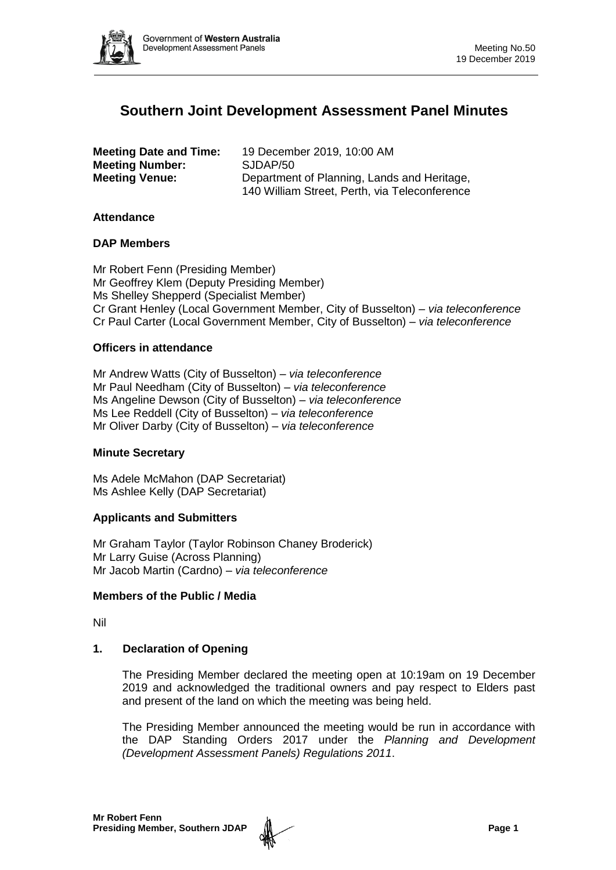

# **Southern Joint Development Assessment Panel Minutes**

| <b>Meeting Date and Time:</b> | 19 December 2019, 10:00 AM                    |
|-------------------------------|-----------------------------------------------|
| <b>Meeting Number:</b>        | SJDAP/50                                      |
| <b>Meeting Venue:</b>         | Department of Planning, Lands and Heritage,   |
|                               | 140 William Street, Perth, via Teleconference |

#### **Attendance**

#### **DAP Members**

Mr Robert Fenn (Presiding Member) Mr Geoffrey Klem (Deputy Presiding Member) Ms Shelley Shepperd (Specialist Member) Cr Grant Henley (Local Government Member, City of Busselton) *– via teleconference* Cr Paul Carter (Local Government Member, City of Busselton) *– via teleconference*

#### **Officers in attendance**

Mr Andrew Watts (City of Busselton) *– via teleconference* Mr Paul Needham (City of Busselton) *– via teleconference* Ms Angeline Dewson (City of Busselton) *– via teleconference* Ms Lee Reddell (City of Busselton) *– via teleconference* Mr Oliver Darby (City of Busselton) *– via teleconference*

# **Minute Secretary**

Ms Adele McMahon (DAP Secretariat) Ms Ashlee Kelly (DAP Secretariat)

# **Applicants and Submitters**

Mr Graham Taylor (Taylor Robinson Chaney Broderick) Mr Larry Guise (Across Planning) Mr Jacob Martin (Cardno) *– via teleconference*

# **Members of the Public / Media**

Nil

# **1. Declaration of Opening**

The Presiding Member declared the meeting open at 10:19am on 19 December 2019 and acknowledged the traditional owners and pay respect to Elders past and present of the land on which the meeting was being held.

The Presiding Member announced the meeting would be run in accordance with the DAP Standing Orders 2017 under the *Planning and Development (Development Assessment Panels) Regulations 2011*.

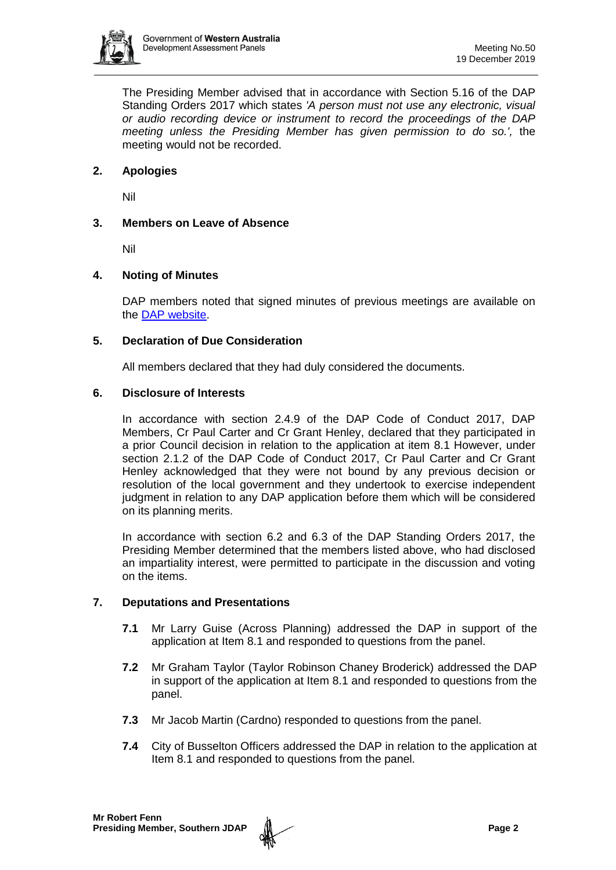

The Presiding Member advised that in accordance with Section 5.16 of the DAP Standing Orders 2017 which states *'A person must not use any electronic, visual or audio recording device or instrument to record the proceedings of the DAP meeting unless the Presiding Member has given permission to do so.',* the meeting would not be recorded.

# **2. Apologies**

Nil

# **3. Members on Leave of Absence**

Nil

# **4. Noting of Minutes**

DAP members noted that signed minutes of previous meetings are available on the [DAP website.](https://www.dplh.wa.gov.au/about/development-assessment-panels/daps-agendas-and-minutes)

# **5. Declaration of Due Consideration**

All members declared that they had duly considered the documents.

#### **6. Disclosure of Interests**

In accordance with section 2.4.9 of the DAP Code of Conduct 2017, DAP Members, Cr Paul Carter and Cr Grant Henley, declared that they participated in a prior Council decision in relation to the application at item 8.1 However, under section 2.1.2 of the DAP Code of Conduct 2017, Cr Paul Carter and Cr Grant Henley acknowledged that they were not bound by any previous decision or resolution of the local government and they undertook to exercise independent judgment in relation to any DAP application before them which will be considered on its planning merits.

In accordance with section 6.2 and 6.3 of the DAP Standing Orders 2017, the Presiding Member determined that the members listed above, who had disclosed an impartiality interest, were permitted to participate in the discussion and voting on the items.

# **7. Deputations and Presentations**

- **7.1** Mr Larry Guise (Across Planning) addressed the DAP in support of the application at Item 8.1 and responded to questions from the panel.
- **7.2** Mr Graham Taylor (Taylor Robinson Chaney Broderick) addressed the DAP in support of the application at Item 8.1 and responded to questions from the panel.
- **7.3** Mr Jacob Martin (Cardno) responded to questions from the panel.
- **7.4** City of Busselton Officers addressed the DAP in relation to the application at Item 8.1 and responded to questions from the panel.

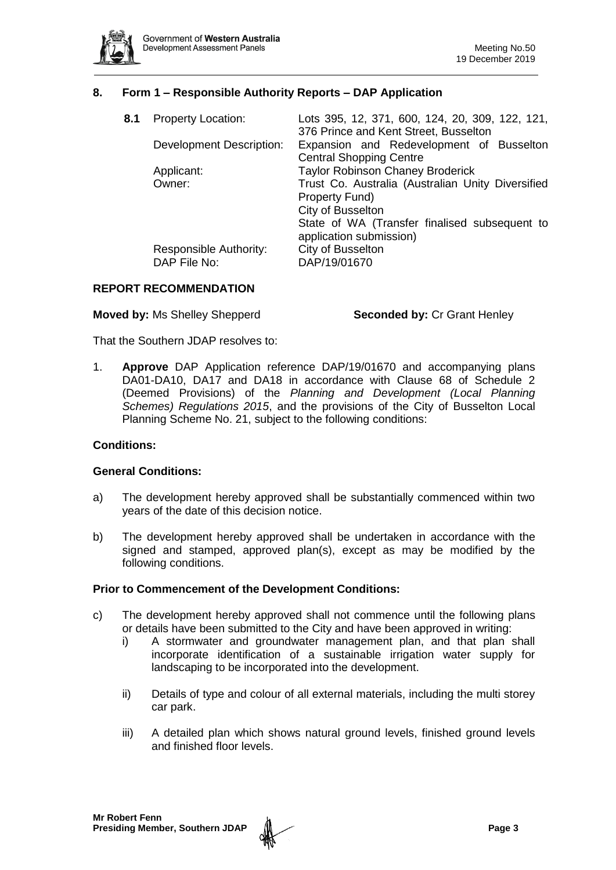

#### **8. Form 1 – Responsible Authority Reports – DAP Application**

| 8.1 | <b>Property Location:</b>              | Lots 395, 12, 371, 600, 124, 20, 309, 122, 121,<br>376 Prince and Kent Street, Busselton |
|-----|----------------------------------------|------------------------------------------------------------------------------------------|
|     | Development Description:               | Expansion and Redevelopment of Busselton<br><b>Central Shopping Centre</b>               |
|     | Applicant:                             | <b>Taylor Robinson Chaney Broderick</b>                                                  |
|     | Owner:                                 | Trust Co. Australia (Australian Unity Diversified                                        |
|     |                                        | <b>Property Fund)</b>                                                                    |
|     |                                        | City of Busselton                                                                        |
|     |                                        | State of WA (Transfer finalised subsequent to<br>application submission)                 |
|     | Responsible Authority:<br>DAP File No: | City of Busselton<br>DAP/19/01670                                                        |
|     |                                        |                                                                                          |

#### **REPORT RECOMMENDATION**

**Moved by:** Ms Shelley Shepperd **Seconded by:** Cr Grant Henley

That the Southern JDAP resolves to:

1. **Approve** DAP Application reference DAP/19/01670 and accompanying plans DA01-DA10, DA17 and DA18 in accordance with Clause 68 of Schedule 2 (Deemed Provisions) of the *Planning and Development (Local Planning Schemes) Regulations 2015*, and the provisions of the City of Busselton Local Planning Scheme No. 21, subject to the following conditions:

#### **Conditions:**

#### **General Conditions:**

- a) The development hereby approved shall be substantially commenced within two years of the date of this decision notice.
- b) The development hereby approved shall be undertaken in accordance with the signed and stamped, approved plan(s), except as may be modified by the following conditions.

#### **Prior to Commencement of the Development Conditions:**

- c) The development hereby approved shall not commence until the following plans or details have been submitted to the City and have been approved in writing:
	- i) A stormwater and groundwater management plan, and that plan shall incorporate identification of a sustainable irrigation water supply for landscaping to be incorporated into the development.
	- ii) Details of type and colour of all external materials, including the multi storey car park.
	- iii) A detailed plan which shows natural ground levels, finished ground levels and finished floor levels.

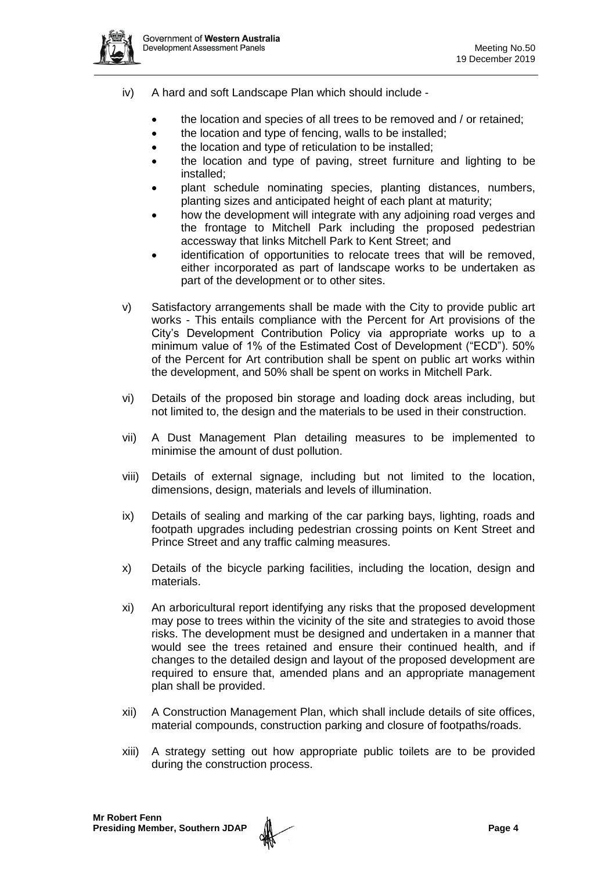

- iv) A hard and soft Landscape Plan which should include
	- the location and species of all trees to be removed and / or retained;
	- the location and type of fencing, walls to be installed;
	- the location and type of reticulation to be installed;
	- the location and type of paving, street furniture and lighting to be installed;
	- plant schedule nominating species, planting distances, numbers, planting sizes and anticipated height of each plant at maturity;
	- how the development will integrate with any adjoining road verges and the frontage to Mitchell Park including the proposed pedestrian accessway that links Mitchell Park to Kent Street; and
	- identification of opportunities to relocate trees that will be removed, either incorporated as part of landscape works to be undertaken as part of the development or to other sites.
- v) Satisfactory arrangements shall be made with the City to provide public art works - This entails compliance with the Percent for Art provisions of the City's Development Contribution Policy via appropriate works up to a minimum value of 1% of the Estimated Cost of Development ("ECD"). 50% of the Percent for Art contribution shall be spent on public art works within the development, and 50% shall be spent on works in Mitchell Park.
- vi) Details of the proposed bin storage and loading dock areas including, but not limited to, the design and the materials to be used in their construction.
- vii) A Dust Management Plan detailing measures to be implemented to minimise the amount of dust pollution.
- viii) Details of external signage, including but not limited to the location, dimensions, design, materials and levels of illumination.
- ix) Details of sealing and marking of the car parking bays, lighting, roads and footpath upgrades including pedestrian crossing points on Kent Street and Prince Street and any traffic calming measures.
- x) Details of the bicycle parking facilities, including the location, design and materials.
- xi) An arboricultural report identifying any risks that the proposed development may pose to trees within the vicinity of the site and strategies to avoid those risks. The development must be designed and undertaken in a manner that would see the trees retained and ensure their continued health, and if changes to the detailed design and layout of the proposed development are required to ensure that, amended plans and an appropriate management plan shall be provided.
- xii) A Construction Management Plan, which shall include details of site offices, material compounds, construction parking and closure of footpaths/roads.
- xiii) A strategy setting out how appropriate public toilets are to be provided during the construction process.

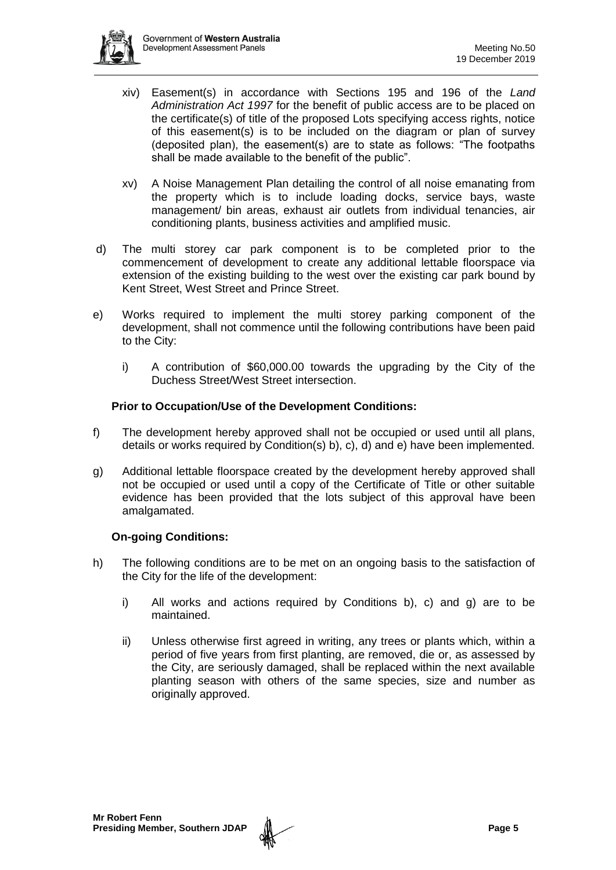

- xiv) Easement(s) in accordance with Sections 195 and 196 of the *Land Administration Act 1997* for the benefit of public access are to be placed on the certificate(s) of title of the proposed Lots specifying access rights, notice of this easement(s) is to be included on the diagram or plan of survey (deposited plan), the easement(s) are to state as follows: "The footpaths shall be made available to the benefit of the public".
- xv) A Noise Management Plan detailing the control of all noise emanating from the property which is to include loading docks, service bays, waste management/ bin areas, exhaust air outlets from individual tenancies, air conditioning plants, business activities and amplified music.
- d) The multi storey car park component is to be completed prior to the commencement of development to create any additional lettable floorspace via extension of the existing building to the west over the existing car park bound by Kent Street, West Street and Prince Street.
- e) Works required to implement the multi storey parking component of the development, shall not commence until the following contributions have been paid to the City:
	- i) A contribution of \$60,000.00 towards the upgrading by the City of the Duchess Street/West Street intersection.

# **Prior to Occupation/Use of the Development Conditions:**

- f) The development hereby approved shall not be occupied or used until all plans, details or works required by Condition(s) b), c), d) and e) have been implemented.
- g) Additional lettable floorspace created by the development hereby approved shall not be occupied or used until a copy of the Certificate of Title or other suitable evidence has been provided that the lots subject of this approval have been amalgamated.

# **On-going Conditions:**

- h) The following conditions are to be met on an ongoing basis to the satisfaction of the City for the life of the development:
	- i) All works and actions required by Conditions b), c) and g) are to be maintained.
	- ii) Unless otherwise first agreed in writing, any trees or plants which, within a period of five years from first planting, are removed, die or, as assessed by the City, are seriously damaged, shall be replaced within the next available planting season with others of the same species, size and number as originally approved.

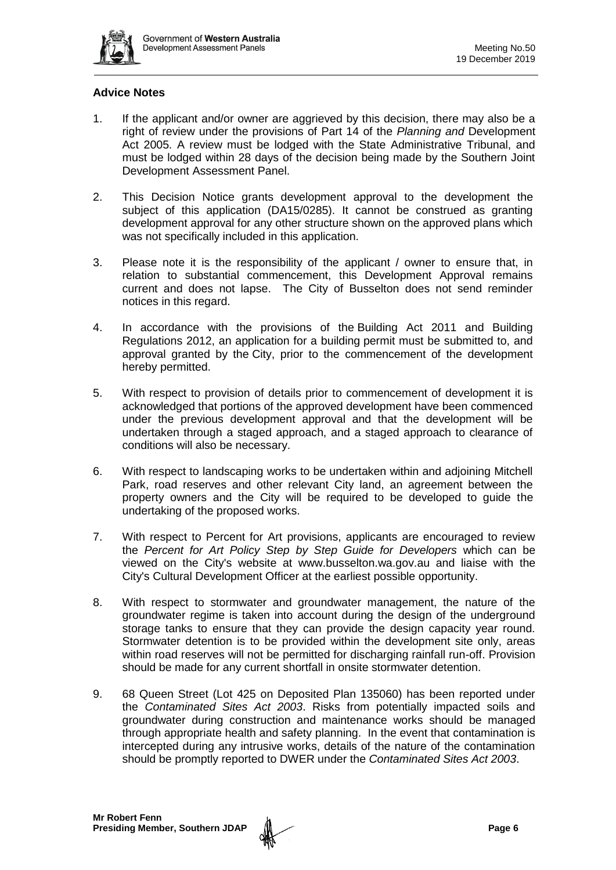

# **Advice Notes**

- 1. If the applicant and/or owner are aggrieved by this decision, there may also be a right of review under the provisions of Part 14 of the *Planning and* Development Act 2005. A review must be lodged with the State Administrative Tribunal, and must be lodged within 28 days of the decision being made by the Southern Joint Development Assessment Panel.
- 2. This Decision Notice grants development approval to the development the subject of this application (DA15/0285). It cannot be construed as granting development approval for any other structure shown on the approved plans which was not specifically included in this application.
- 3. Please note it is the responsibility of the applicant / owner to ensure that, in relation to substantial commencement, this Development Approval remains current and does not lapse. The City of Busselton does not send reminder notices in this regard.
- 4. In accordance with the provisions of the Building Act 2011 and Building Regulations 2012, an application for a building permit must be submitted to, and approval granted by the City, prior to the commencement of the development hereby permitted.
- 5. With respect to provision of details prior to commencement of development it is acknowledged that portions of the approved development have been commenced under the previous development approval and that the development will be undertaken through a staged approach, and a staged approach to clearance of conditions will also be necessary.
- 6. With respect to landscaping works to be undertaken within and adjoining Mitchell Park, road reserves and other relevant City land, an agreement between the property owners and the City will be required to be developed to guide the undertaking of the proposed works.
- 7. With respect to Percent for Art provisions, applicants are encouraged to review the *Percent for Art Policy Step by Step Guide for Developers* which can be viewed on the City's website at www.busselton.wa.gov.au and liaise with the City's Cultural Development Officer at the earliest possible opportunity.
- 8. With respect to stormwater and groundwater management, the nature of the groundwater regime is taken into account during the design of the underground storage tanks to ensure that they can provide the design capacity year round. Stormwater detention is to be provided within the development site only, areas within road reserves will not be permitted for discharging rainfall run-off. Provision should be made for any current shortfall in onsite stormwater detention.
- 9. 68 Queen Street (Lot 425 on Deposited Plan 135060) has been reported under the *Contaminated Sites Act 2003*. Risks from potentially impacted soils and groundwater during construction and maintenance works should be managed through appropriate health and safety planning. In the event that contamination is intercepted during any intrusive works, details of the nature of the contamination should be promptly reported to DWER under the *Contaminated Sites Act 2003*.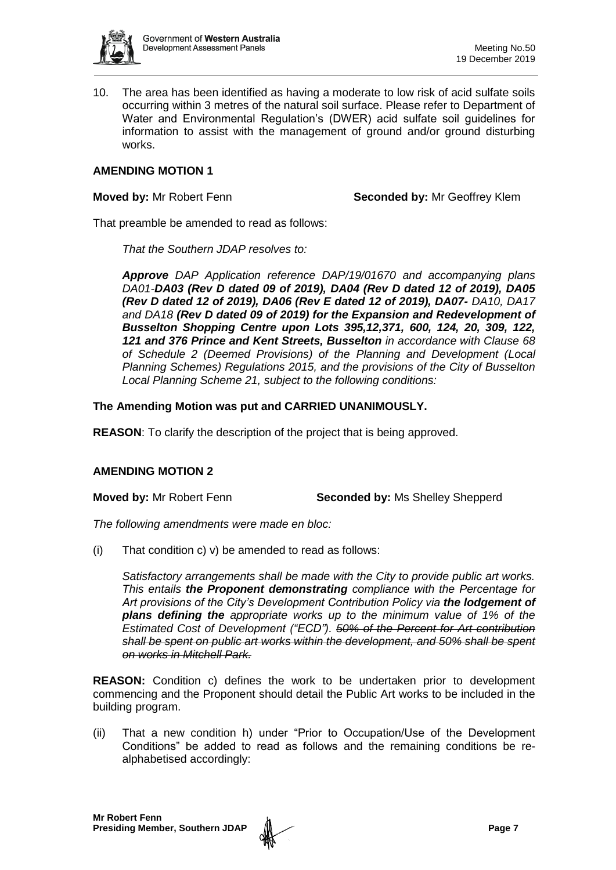

10. The area has been identified as having a moderate to low risk of acid sulfate soils occurring within 3 metres of the natural soil surface. Please refer to Department of Water and Environmental Regulation's (DWER) acid sulfate soil guidelines for information to assist with the management of ground and/or ground disturbing works.

#### **AMENDING MOTION 1**

**Moved by:** Mr Robert Fenn **Seconded by:** Mr Geoffrey Klem

That preamble be amended to read as follows:

*That the Southern JDAP resolves to:*

*Approve DAP Application reference DAP/19/01670 and accompanying plans DA01-DA03 (Rev D dated 09 of 2019), DA04 (Rev D dated 12 of 2019), DA05 (Rev D dated 12 of 2019), DA06 (Rev E dated 12 of 2019), DA07- DA10, DA17 and DA18 (Rev D dated 09 of 2019) for the Expansion and Redevelopment of Busselton Shopping Centre upon Lots 395,12,371, 600, 124, 20, 309, 122, 121 and 376 Prince and Kent Streets, Busselton in accordance with Clause 68 of Schedule 2 (Deemed Provisions) of the Planning and Development (Local Planning Schemes) Regulations 2015, and the provisions of the City of Busselton Local Planning Scheme 21, subject to the following conditions:*

# **The Amending Motion was put and CARRIED UNANIMOUSLY.**

**REASON:** To clarify the description of the project that is being approved.

# **AMENDING MOTION 2**

**Moved by:** Mr Robert Fenn **Seconded by:** Ms Shelley Shepperd

*The following amendments were made en bloc:*

(i) That condition c) v) be amended to read as follows:

*Satisfactory arrangements shall be made with the City to provide public art works. This entails the Proponent demonstrating compliance with the Percentage for Art provisions of the City's Development Contribution Policy via the lodgement of plans defining the appropriate works up to the minimum value of 1% of the Estimated Cost of Development ("ECD"). 50% of the Percent for Art contribution shall be spent on public art works within the development, and 50% shall be spent on works in Mitchell Park.*

**REASON:** Condition c) defines the work to be undertaken prior to development commencing and the Proponent should detail the Public Art works to be included in the building program.

(ii) That a new condition h) under "Prior to Occupation/Use of the Development Conditions" be added to read as follows and the remaining conditions be realphabetised accordingly:

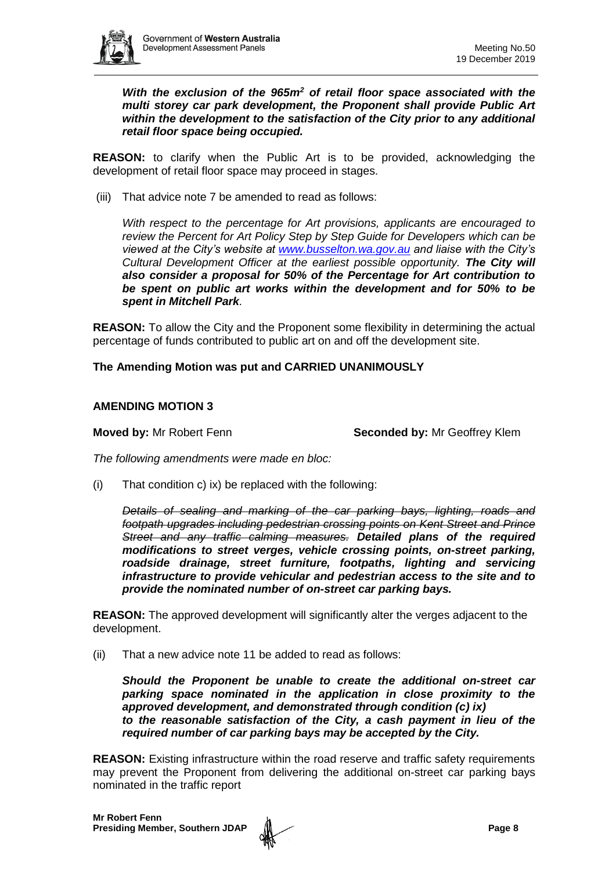

*With the exclusion of the 965m<sup>2</sup> of retail floor space associated with the multi storey car park development, the Proponent shall provide Public Art within the development to the satisfaction of the City prior to any additional retail floor space being occupied.*

**REASON:** to clarify when the Public Art is to be provided, acknowledging the development of retail floor space may proceed in stages.

(iii) That advice note 7 be amended to read as follows:

*With respect to the percentage for Art provisions, applicants are encouraged to review the Percent for Art Policy Step by Step Guide for Developers which can be viewed at the City's website at [www.busselton.wa.gov.au](http://www.busselton.wa.gov.au/) and liaise with the City's Cultural Development Officer at the earliest possible opportunity. The City will also consider a proposal for 50% of the Percentage for Art contribution to be spent on public art works within the development and for 50% to be spent in Mitchell Park.*

**REASON:** To allow the City and the Proponent some flexibility in determining the actual percentage of funds contributed to public art on and off the development site.

# **The Amending Motion was put and CARRIED UNANIMOUSLY**

# **AMENDING MOTION 3**

**Moved by:** Mr Robert Fenn **Seconded by:** Mr Geoffrey Klem

*The following amendments were made en bloc:*

(i) That condition c) ix) be replaced with the following:

*Details of sealing and marking of the car parking bays, lighting, roads and footpath upgrades including pedestrian crossing points on Kent Street and Prince Street and any traffic calming measures. Detailed plans of the required modifications to street verges, vehicle crossing points, on-street parking, roadside drainage, street furniture, footpaths, lighting and servicing infrastructure to provide vehicular and pedestrian access to the site and to provide the nominated number of on-street car parking bays.*

**REASON:** The approved development will significantly alter the verges adjacent to the development.

(ii) That a new advice note 11 be added to read as follows:

*Should the Proponent be unable to create the additional on-street car parking space nominated in the application in close proximity to the approved development, and demonstrated through condition (c) ix) to the reasonable satisfaction of the City, a cash payment in lieu of the required number of car parking bays may be accepted by the City.*

**REASON:** Existing infrastructure within the road reserve and traffic safety requirements may prevent the Proponent from delivering the additional on-street car parking bays nominated in the traffic report

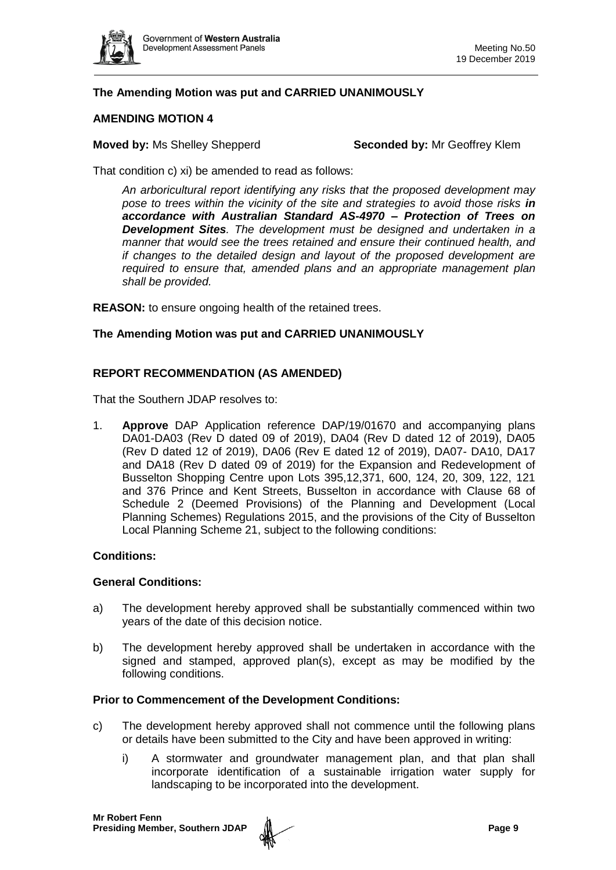

# **The Amending Motion was put and CARRIED UNANIMOUSLY**

#### **AMENDING MOTION 4**

#### **Moved by:** Ms Shelley Shepperd **Seconded by:** Mr Geoffrey Klem

That condition c) xi) be amended to read as follows:

*An arboricultural report identifying any risks that the proposed development may pose to trees within the vicinity of the site and strategies to avoid those risks in accordance with Australian Standard AS-4970 – Protection of Trees on Development Sites. The development must be designed and undertaken in a manner that would see the trees retained and ensure their continued health, and if changes to the detailed design and layout of the proposed development are required to ensure that, amended plans and an appropriate management plan shall be provided.*

**REASON:** to ensure ongoing health of the retained trees.

#### **The Amending Motion was put and CARRIED UNANIMOUSLY**

#### **REPORT RECOMMENDATION (AS AMENDED)**

That the Southern JDAP resolves to:

1. **Approve** DAP Application reference DAP/19/01670 and accompanying plans DA01-DA03 (Rev D dated 09 of 2019), DA04 (Rev D dated 12 of 2019), DA05 (Rev D dated 12 of 2019), DA06 (Rev E dated 12 of 2019), DA07- DA10, DA17 and DA18 (Rev D dated 09 of 2019) for the Expansion and Redevelopment of Busselton Shopping Centre upon Lots 395,12,371, 600, 124, 20, 309, 122, 121 and 376 Prince and Kent Streets, Busselton in accordance with Clause 68 of Schedule 2 (Deemed Provisions) of the Planning and Development (Local Planning Schemes) Regulations 2015, and the provisions of the City of Busselton Local Planning Scheme 21, subject to the following conditions:

#### **Conditions:**

#### **General Conditions:**

- a) The development hereby approved shall be substantially commenced within two years of the date of this decision notice.
- b) The development hereby approved shall be undertaken in accordance with the signed and stamped, approved plan(s), except as may be modified by the following conditions.

#### **Prior to Commencement of the Development Conditions:**

- c) The development hereby approved shall not commence until the following plans or details have been submitted to the City and have been approved in writing:
	- i) A stormwater and groundwater management plan, and that plan shall incorporate identification of a sustainable irrigation water supply for landscaping to be incorporated into the development.

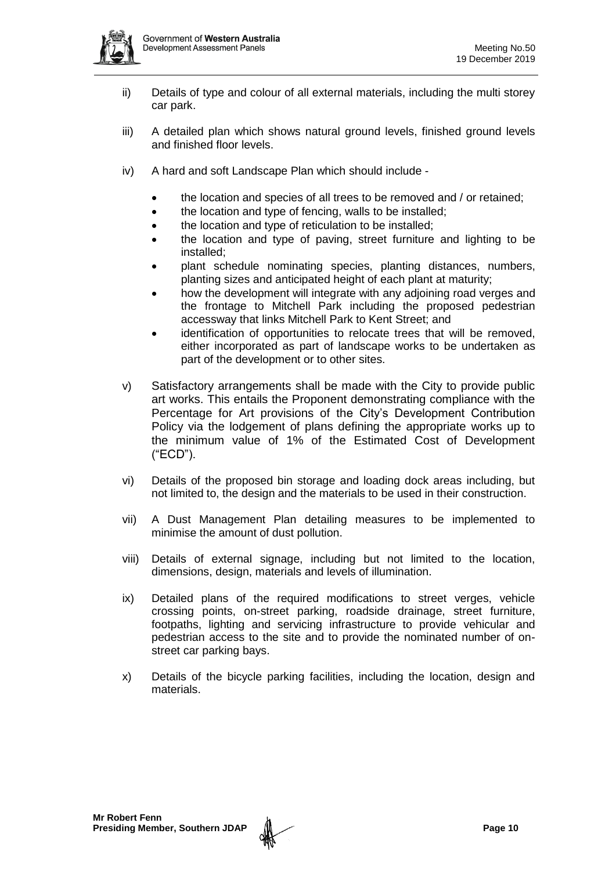

- ii) Details of type and colour of all external materials, including the multi storey car park.
- iii) A detailed plan which shows natural ground levels, finished ground levels and finished floor levels.
- iv) A hard and soft Landscape Plan which should include
	- the location and species of all trees to be removed and / or retained;
	- the location and type of fencing, walls to be installed;
	- the location and type of reticulation to be installed;
	- the location and type of paving, street furniture and lighting to be installed;
	- plant schedule nominating species, planting distances, numbers, planting sizes and anticipated height of each plant at maturity;
	- how the development will integrate with any adjoining road verges and the frontage to Mitchell Park including the proposed pedestrian accessway that links Mitchell Park to Kent Street; and
	- identification of opportunities to relocate trees that will be removed, either incorporated as part of landscape works to be undertaken as part of the development or to other sites.
- v) Satisfactory arrangements shall be made with the City to provide public art works. This entails the Proponent demonstrating compliance with the Percentage for Art provisions of the City's Development Contribution Policy via the lodgement of plans defining the appropriate works up to the minimum value of 1% of the Estimated Cost of Development ("ECD").
- vi) Details of the proposed bin storage and loading dock areas including, but not limited to, the design and the materials to be used in their construction.
- vii) A Dust Management Plan detailing measures to be implemented to minimise the amount of dust pollution.
- viii) Details of external signage, including but not limited to the location, dimensions, design, materials and levels of illumination.
- ix) Detailed plans of the required modifications to street verges, vehicle crossing points, on-street parking, roadside drainage, street furniture, footpaths, lighting and servicing infrastructure to provide vehicular and pedestrian access to the site and to provide the nominated number of onstreet car parking bays.
- x) Details of the bicycle parking facilities, including the location, design and materials.

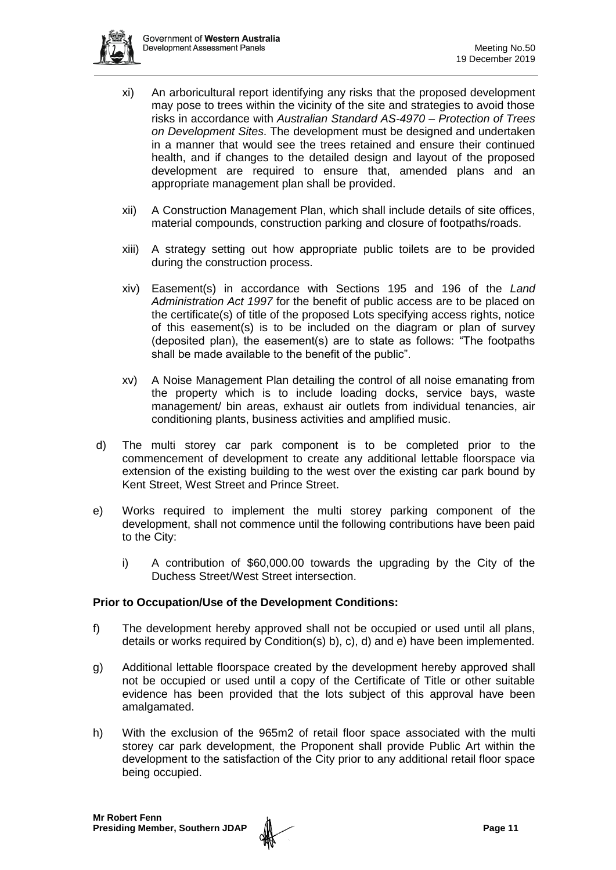

- xi) An arboricultural report identifying any risks that the proposed development may pose to trees within the vicinity of the site and strategies to avoid those risks in accordance with *Australian Standard AS-4970 – Protection of Trees on Development Sites*. The development must be designed and undertaken in a manner that would see the trees retained and ensure their continued health, and if changes to the detailed design and layout of the proposed development are required to ensure that, amended plans and an appropriate management plan shall be provided.
- xii) A Construction Management Plan, which shall include details of site offices, material compounds, construction parking and closure of footpaths/roads.
- xiii) A strategy setting out how appropriate public toilets are to be provided during the construction process.
- xiv) Easement(s) in accordance with Sections 195 and 196 of the *Land Administration Act 1997* for the benefit of public access are to be placed on the certificate(s) of title of the proposed Lots specifying access rights, notice of this easement(s) is to be included on the diagram or plan of survey (deposited plan), the easement(s) are to state as follows: "The footpaths shall be made available to the benefit of the public".
- xv) A Noise Management Plan detailing the control of all noise emanating from the property which is to include loading docks, service bays, waste management/ bin areas, exhaust air outlets from individual tenancies, air conditioning plants, business activities and amplified music.
- d) The multi storey car park component is to be completed prior to the commencement of development to create any additional lettable floorspace via extension of the existing building to the west over the existing car park bound by Kent Street, West Street and Prince Street.
- e) Works required to implement the multi storey parking component of the development, shall not commence until the following contributions have been paid to the City:
	- i) A contribution of \$60,000.00 towards the upgrading by the City of the Duchess Street/West Street intersection.

# **Prior to Occupation/Use of the Development Conditions:**

- f) The development hereby approved shall not be occupied or used until all plans, details or works required by Condition(s) b), c), d) and e) have been implemented.
- g) Additional lettable floorspace created by the development hereby approved shall not be occupied or used until a copy of the Certificate of Title or other suitable evidence has been provided that the lots subject of this approval have been amalgamated.
- h) With the exclusion of the 965m2 of retail floor space associated with the multi storey car park development, the Proponent shall provide Public Art within the development to the satisfaction of the City prior to any additional retail floor space being occupied.

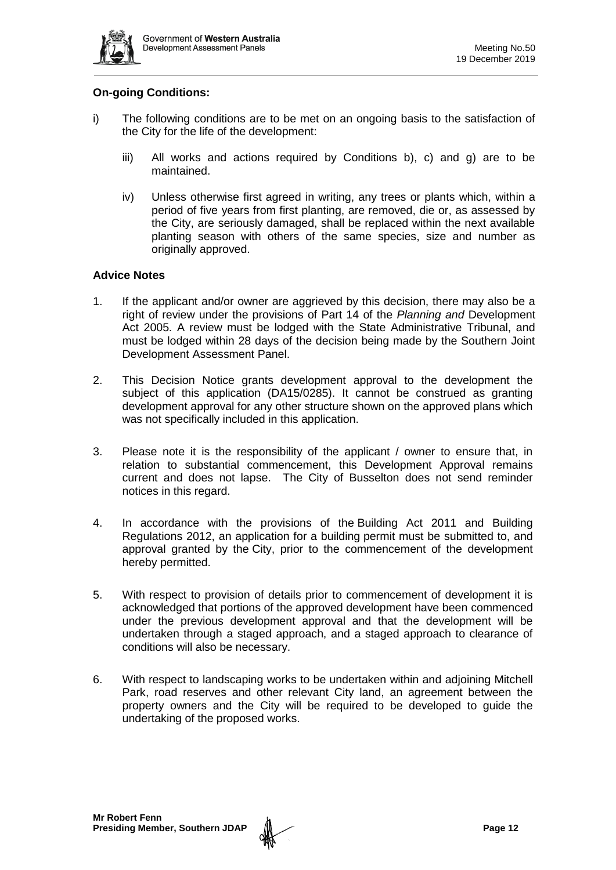

# **On-going Conditions:**

- i) The following conditions are to be met on an ongoing basis to the satisfaction of the City for the life of the development:
	- iii) All works and actions required by Conditions b), c) and g) are to be maintained.
	- iv) Unless otherwise first agreed in writing, any trees or plants which, within a period of five years from first planting, are removed, die or, as assessed by the City, are seriously damaged, shall be replaced within the next available planting season with others of the same species, size and number as originally approved.

# **Advice Notes**

- 1. If the applicant and/or owner are aggrieved by this decision, there may also be a right of review under the provisions of Part 14 of the *Planning and* Development Act 2005. A review must be lodged with the State Administrative Tribunal, and must be lodged within 28 days of the decision being made by the Southern Joint Development Assessment Panel.
- 2. This Decision Notice grants development approval to the development the subject of this application (DA15/0285). It cannot be construed as granting development approval for any other structure shown on the approved plans which was not specifically included in this application.
- 3. Please note it is the responsibility of the applicant / owner to ensure that, in relation to substantial commencement, this Development Approval remains current and does not lapse. The City of Busselton does not send reminder notices in this regard.
- 4. In accordance with the provisions of the Building Act 2011 and Building Regulations 2012, an application for a building permit must be submitted to, and approval granted by the City, prior to the commencement of the development hereby permitted.
- 5. With respect to provision of details prior to commencement of development it is acknowledged that portions of the approved development have been commenced under the previous development approval and that the development will be undertaken through a staged approach, and a staged approach to clearance of conditions will also be necessary.
- 6. With respect to landscaping works to be undertaken within and adjoining Mitchell Park, road reserves and other relevant City land, an agreement between the property owners and the City will be required to be developed to guide the undertaking of the proposed works.

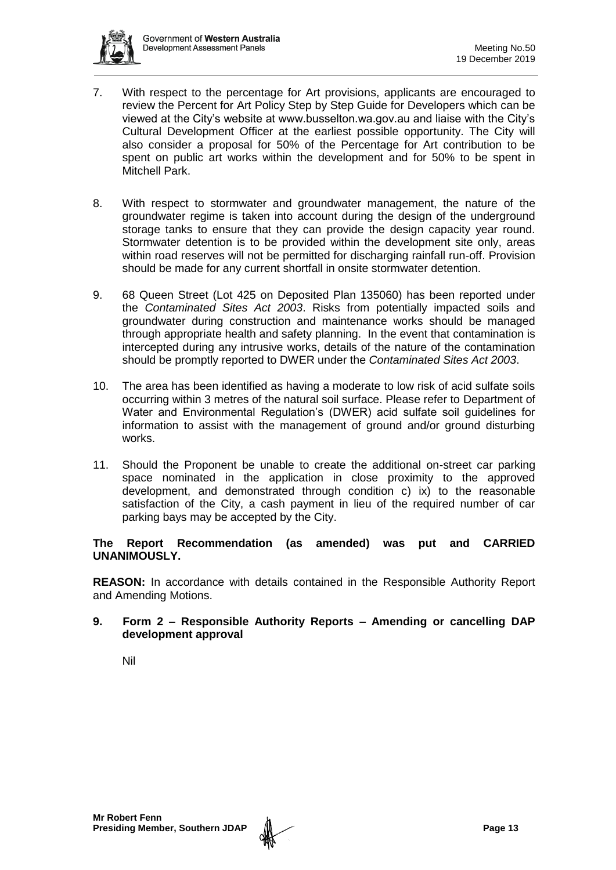

- 7. With respect to the percentage for Art provisions, applicants are encouraged to review the Percent for Art Policy Step by Step Guide for Developers which can be viewed at the City's website at www.busselton.wa.gov.au and liaise with the City's Cultural Development Officer at the earliest possible opportunity. The City will also consider a proposal for 50% of the Percentage for Art contribution to be spent on public art works within the development and for 50% to be spent in Mitchell Park.
- 8. With respect to stormwater and groundwater management, the nature of the groundwater regime is taken into account during the design of the underground storage tanks to ensure that they can provide the design capacity year round. Stormwater detention is to be provided within the development site only, areas within road reserves will not be permitted for discharging rainfall run-off. Provision should be made for any current shortfall in onsite stormwater detention.
- 9. 68 Queen Street (Lot 425 on Deposited Plan 135060) has been reported under the *Contaminated Sites Act 2003*. Risks from potentially impacted soils and groundwater during construction and maintenance works should be managed through appropriate health and safety planning. In the event that contamination is intercepted during any intrusive works, details of the nature of the contamination should be promptly reported to DWER under the *Contaminated Sites Act 2003*.
- 10. The area has been identified as having a moderate to low risk of acid sulfate soils occurring within 3 metres of the natural soil surface. Please refer to Department of Water and Environmental Regulation's (DWER) acid sulfate soil guidelines for information to assist with the management of ground and/or ground disturbing works.
- 11. Should the Proponent be unable to create the additional on-street car parking space nominated in the application in close proximity to the approved development, and demonstrated through condition c) ix) to the reasonable satisfaction of the City, a cash payment in lieu of the required number of car parking bays may be accepted by the City.

**The Report Recommendation (as amended) was put and CARRIED UNANIMOUSLY.**

**REASON:** In accordance with details contained in the Responsible Authority Report and Amending Motions.

**9. Form 2 – Responsible Authority Reports – Amending or cancelling DAP development approval**

Nil